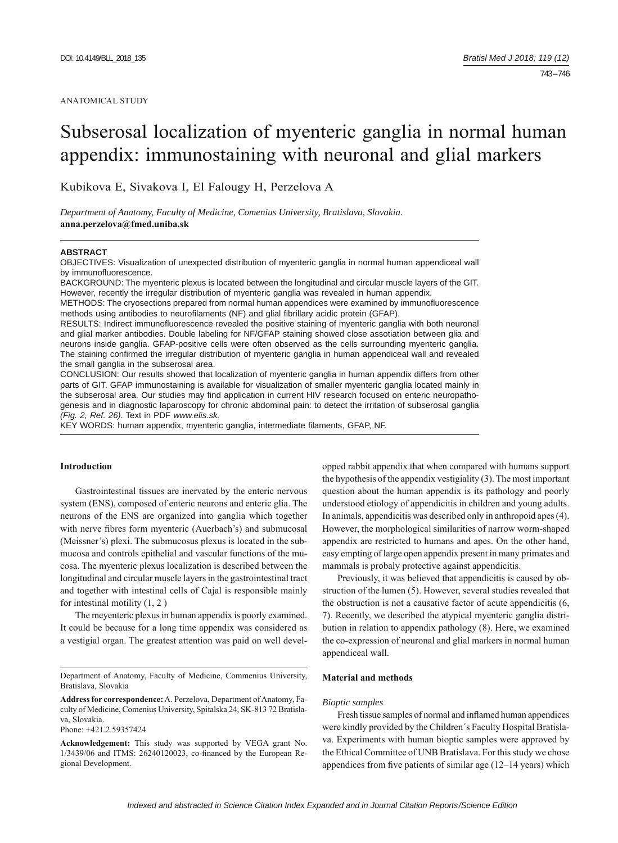#### ANATOMICAL STUDY

# Subserosal localization of myenteric ganglia in normal human appendix: immunostaining with neuronal and glial markers

Kubikova E, Sivakova I, El Falougy H, Perzelova A

*Department of Anatomy, Faculty of Medicine, Comenius University, Bratislava, Slovakia.*  **anna.perzelova@fmed.uniba.sk**

#### **ABSTRACT**

OBJECTIVES: Visualization of unexpected distribution of myenteric ganglia in normal human appendiceal wall by immunofluorescence.

BACKGROUND: The myenteric plexus is located between the longitudinal and circular muscle layers of the GIT. However, recently the irregular distribution of myenteric ganglia was revealed in human appendix.

METHODS: The cryosections prepared from normal human appendices were examined by immunofluorescence methods using antibodies to neurofilaments (NF) and glial fibrillary acidic protein (GFAP).

RESULTS: Indirect immunofluorescence revealed the positive staining of myenteric ganglia with both neuronal and glial marker antibodies. Double labeling for NF/GFAP staining showed close assotiation between glia and neurons inside ganglia. GFAP-positive cells were often observed as the cells surrounding myenteric ganglia. The staining confirmed the irregular distribution of myenteric ganglia in human appendiceal wall and revealed the small ganglia in the subserosal area.

CONCLUSION: Our results showed that localization of myenteric ganglia in human appendix differs from other parts of GIT. GFAP immunostaining is available for visualization of smaller myenteric ganglia located mainly in the subserosal area. Our studies may find application in current HIV research focused on enteric neuropathogenesis and in diagnostic laparoscopy for chronic abdominal pain: to detect the irritation of subserosal ganglia *(Fig. 2, Ref. 26)*. Text in PDF *www.elis.sk.* 

KEY WORDS: human appendix, myenteric ganglia, intermediate filaments, GFAP, NF.

#### **Introduction**

Gastrointestinal tissues are inervated by the enteric nervous system (ENS), composed of enteric neurons and enteric glia. The neurons of the ENS are organized into ganglia which together with nerve fibres form myenteric (Auerbach's) and submucosal (Meissner's) plexi. The submucosus plexus is located in the submucosa and controls epithelial and vascular functions of the mucosa. The myenteric plexus localization is described between the longitudinal and circular muscle layers in the gastrointestinal tract and together with intestinal cells of Cajal is responsible mainly for intestinal motility  $(1, 2)$ 

The meyenteric plexus in human appendix is poorly examined. It could be because for a long time appendix was considered as a vestigial organ. The greatest attention was paid on well devel-

Phone: +421.2.59357424

opped rabbit appendix that when compared with humans support the hypothesis of the appendix vestigiality (3). The most important question about the human appendix is its pathology and poorly understood etiology of appendicitis in children and young adults. In animals, appendicitis was described only in anthropoid apes (4). However, the morphological similarities of narrow worm-shaped appendix are restricted to humans and apes. On the other hand, easy empting of large open appendix present in many primates and mammals is probaly protective against appendicitis.

Previously, it was believed that appendicitis is caused by obstruction of the lumen (5). However, several studies revealed that the obstruction is not a causative factor of acute appendicitis (6, 7). Recently, we described the atypical myenteric ganglia distribution in relation to appendix pathology (8). Here, we examined the co-expression of neuronal and glial markers in normal human appendiceal wall.

# **Material and methods**

#### *Bioptic samples*

Fresh tissue samples of normal and inflamed human appendices were kindly provided by the Children´s Faculty Hospital Bratislava. Experiments with human bioptic samples were approved by the Ethical Committee of UNB Bratislava. For this study we chose appendices from five patients of similar age  $(12-14 \text{ years})$  which

Department of Anatomy, Faculty of Medicine, Commenius University, Bratislava, Slovakia

**Address for correspondence:** A. Perzelova, Department of Anatomy, Faculty of Medicine, Comenius University, Spitalska 24, SK-813 72 Bratislava, Slovakia.

**Acknowledgement:** This study was supported by VEGA grant No. 1/3439/06 and ITMS: 26240120023, co-financed by the European Regional Development.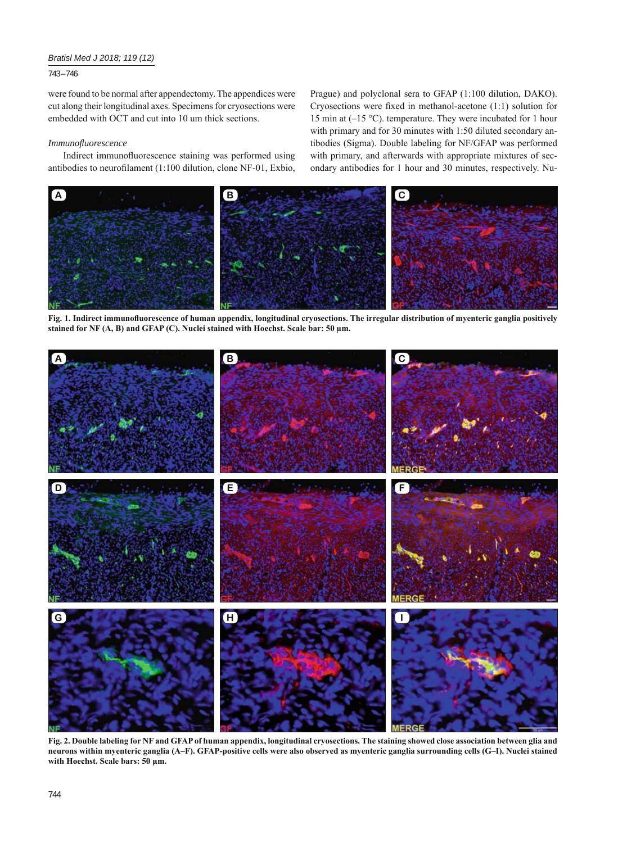# *Bratisl Med J 2018; 119 (12)*

# 743 – 746

were found to be normal after appendectomy. The appendices were cut along their longitudinal axes. Specimens for cryosections were embedded with OCT and cut into 10 um thick sections.

#### *Immunofl uorescence*

Indirect immunofluorescence staining was performed using antibodies to neurofilament (1:100 dilution, clone NF-01, Exbio, Prague) and polyclonal sera to GFAP (1:100 dilution, DAKO). Cryosections were fixed in methanol-acetone  $(1:1)$  solution for 15 min at (–15 °C). temperature. They were incubated for 1 hour with primary and for 30 minutes with 1:50 diluted secondary antibodies (Sigma). Double labeling for NF/GFAP was performed with primary, and afterwards with appropriate mixtures of secondary antibodies for 1 hour and 30 minutes, respectively. Nu-



Fig. 1. Indirect immunofluorescence of human appendix, longitudinal cryosections. The irregular distribution of myenteric ganglia positively **stained for NF (A, B) and GFAP (C). Nuclei stained with Hoechst. Scale bar: 50 μm.**



**Fig. 2. Double labeling for NF and GFAP of human appendix, longitudinal cryosections. The staining showed close association between glia and neurons within myenteric ganglia (A–F). GFAP-positive cells were also observed as myenteric ganglia surrounding cells (G–I). Nuclei stained with Hoechst. Scale bars: 50 μm.**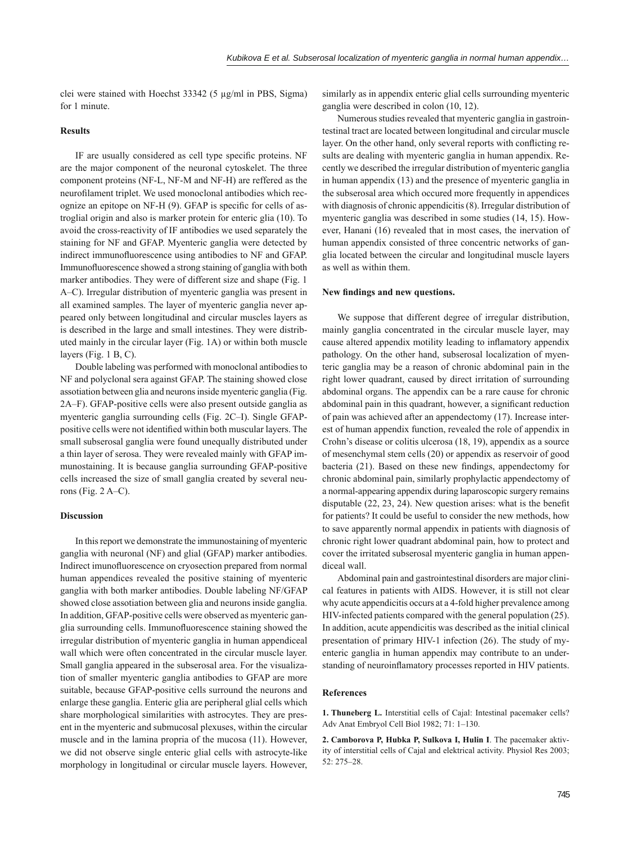clei were stained with Hoechst 33342 (5 μg/ml in PBS, Sigma) for 1 minute.

# **Results**

IF are usually considered as cell type specific proteins. NF are the major component of the neuronal cytoskelet. The three component proteins (NF-L, NF-M and NF-H) are reffered as the neurofilament triplet. We used monoclonal antibodies which recognize an epitope on  $NF-H$  (9). GFAP is specific for cells of astroglial origin and also is marker protein for enteric glia (10). To avoid the cross-reactivity of IF antibodies we used separately the staining for NF and GFAP. Myenteric ganglia were detected by indirect immunofluorescence using antibodies to NF and GFAP. Immunofluorescence showed a strong staining of ganglia with both marker antibodies. They were of different size and shape (Fig. 1 A–C). Irregular distribution of myenteric ganglia was present in all examined samples. The layer of myenteric ganglia never appeared only between longitudinal and circular muscles layers as is described in the large and small intestines. They were distributed mainly in the circular layer (Fig. 1A) or within both muscle layers (Fig. 1 B, C).

Double labeling was performed with monoclonal antibodies to NF and polyclonal sera against GFAP. The staining showed close assotiation between glia and neurons inside myenteric ganglia (Fig. 2A–F). GFAP-positive cells were also present outside ganglia as myenteric ganglia surrounding cells (Fig. 2C–I). Single GFAPpositive cells were not identified within both muscular layers. The small subserosal ganglia were found unequally distributed under a thin layer of serosa. They were revealed mainly with GFAP immunostaining. It is because ganglia surrounding GFAP-positive cells increased the size of small ganglia created by several neurons (Fig. 2 A–C).

#### **Discussion**

In this report we demonstrate the immunostaining of myenteric ganglia with neuronal (NF) and glial (GFAP) marker antibodies. Indirect imunofluorescence on cryosection prepared from normal human appendices revealed the positive staining of myenteric ganglia with both marker antibodies. Double labeling NF/GFAP showed close assotiation between glia and neurons inside ganglia. In addition, GFAP-positive cells were observed as myenteric ganglia surrounding cells. Immunofluorescence staining showed the irregular distribution of myenteric ganglia in human appendiceal wall which were often concentrated in the circular muscle layer. Small ganglia appeared in the subserosal area. For the visualization of smaller myenteric ganglia antibodies to GFAP are more suitable, because GFAP-positive cells surround the neurons and enlarge these ganglia. Enteric glia are peripheral glial cells which share morphological similarities with astrocytes. They are present in the myenteric and submucosal plexuses, within the circular muscle and in the lamina propria of the mucosa (11). However, we did not observe single enteric glial cells with astrocyte-like morphology in longitudinal or circular muscle layers. However,

similarly as in appendix enteric glial cells surrounding myenteric ganglia were described in colon (10, 12).

Numerous studies revealed that myenteric ganglia in gastrointestinal tract are located between longitudinal and circular muscle layer. On the other hand, only several reports with conflicting results are dealing with myenteric ganglia in human appendix. Recently we described the irregular distribution of myenteric ganglia in human appendix (13) and the presence of myenteric ganglia in the subserosal area which occured more frequently in appendices with diagnosis of chronic appendicitis (8). Irregular distribution of myenteric ganglia was described in some studies (14, 15). However, Hanani (16) revealed that in most cases, the inervation of human appendix consisted of three concentric networks of ganglia located between the circular and longitudinal muscle layers as well as within them.

# **New findings and new questions.**

We suppose that different degree of irregular distribution, mainly ganglia concentrated in the circular muscle layer, may cause altered appendix motility leading to inflamatory appendix pathology. On the other hand, subserosal localization of myenteric ganglia may be a reason of chronic abdominal pain in the right lower quadrant, caused by direct irritation of surrounding abdominal organs. The appendix can be a rare cause for chronic abdominal pain in this quadrant, however, a significant reduction of pain was achieved after an appendectomy (17). Increase interest of human appendix function, revealed the role of appendix in Crohn's disease or colitis ulcerosa (18, 19), appendix as a source of mesenchymal stem cells (20) or appendix as reservoir of good bacteria  $(21)$ . Based on these new findings, appendectomy for chronic abdominal pain, similarly prophylactic appendectomy of a normal-appearing appendix during laparoscopic surgery remains disputable  $(22, 23, 24)$ . New question arises: what is the benefit for patients? It could be useful to consider the new methods, how to save apparently normal appendix in patients with diagnosis of chronic right lower quadrant abdominal pain, how to protect and cover the irritated subserosal myenteric ganglia in human appendiceal wall.

Abdominal pain and gastrointestinal disorders are major clinical features in patients with AIDS. However, it is still not clear why acute appendicitis occurs at a 4-fold higher prevalence among HIV-infected patients compared with the general population (25). In addition, acute appendicitis was described as the initial clinical presentation of primary HIV-1 infection (26). The study of myenteric ganglia in human appendix may contribute to an understanding of neuroinflamatory processes reported in HIV patients.

#### **References**

**1. Thuneberg L.** Interstitial cells of Cajal: Intestinal pacemaker cells? Adv Anat Embryol Cell Biol 1982; 71: 1–130.

**2. Camborova P, Hubka P, Sulkova I, Hulin I**. The pacemaker aktivity of interstitial cells of Cajal and elektrical activity. Physiol Res 2003; 52: 275–28.